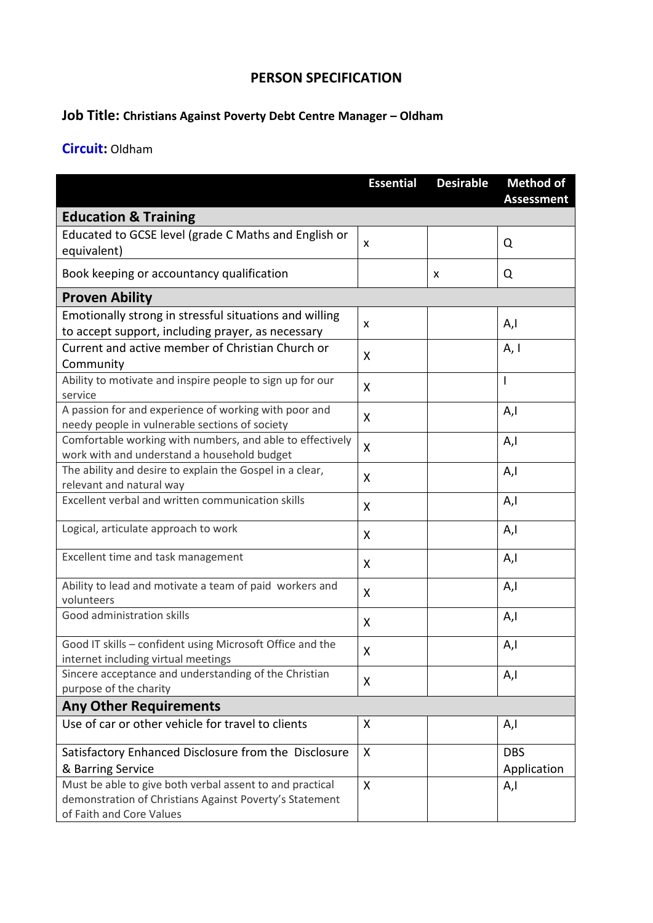## **PERSON SPECIFICATION**

## **Job Title: Christians Against Poverty Debt Centre Manager – Oldham**

## **Circuit:** Oldham

|                                                                                                                                                 | <b>Essential</b> | <b>Desirable</b> | <b>Method of</b><br><b>Assessment</b> |
|-------------------------------------------------------------------------------------------------------------------------------------------------|------------------|------------------|---------------------------------------|
| <b>Education &amp; Training</b>                                                                                                                 |                  |                  |                                       |
| Educated to GCSE level (grade C Maths and English or                                                                                            | x                |                  | Q                                     |
| equivalent)                                                                                                                                     |                  |                  |                                       |
| Book keeping or accountancy qualification                                                                                                       |                  | X                | Q                                     |
| <b>Proven Ability</b>                                                                                                                           |                  |                  |                                       |
| Emotionally strong in stressful situations and willing                                                                                          | X                |                  | A,l                                   |
| to accept support, including prayer, as necessary                                                                                               |                  |                  |                                       |
| Current and active member of Christian Church or<br>Community                                                                                   | X                |                  | A, I                                  |
| Ability to motivate and inspire people to sign up for our<br>service                                                                            | X                |                  | I                                     |
| A passion for and experience of working with poor and<br>needy people in vulnerable sections of society                                         | X                |                  | A,l                                   |
| Comfortable working with numbers, and able to effectively<br>work with and understand a household budget                                        | X                |                  | A,l                                   |
| The ability and desire to explain the Gospel in a clear,<br>relevant and natural way                                                            | X                |                  | A,l                                   |
| Excellent verbal and written communication skills                                                                                               | X                |                  | A,I                                   |
| Logical, articulate approach to work                                                                                                            | X                |                  | A,l                                   |
| Excellent time and task management                                                                                                              | X                |                  | A,l                                   |
| Ability to lead and motivate a team of paid workers and<br>volunteers                                                                           | X                |                  | A,I                                   |
| Good administration skills                                                                                                                      | X                |                  | A,I                                   |
| Good IT skills - confident using Microsoft Office and the                                                                                       | X                |                  | A,l                                   |
| internet including virtual meetings<br>Sincere acceptance and understanding of the Christian                                                    |                  |                  |                                       |
| purpose of the charity                                                                                                                          | X                |                  | A,l                                   |
| <b>Any Other Requirements</b>                                                                                                                   |                  |                  |                                       |
| Use of car or other vehicle for travel to clients                                                                                               | X                |                  | A,l                                   |
| Satisfactory Enhanced Disclosure from the Disclosure                                                                                            | X                |                  | <b>DBS</b>                            |
| & Barring Service                                                                                                                               |                  |                  | Application                           |
| Must be able to give both verbal assent to and practical<br>demonstration of Christians Against Poverty's Statement<br>of Faith and Core Values | X                |                  | A,l                                   |